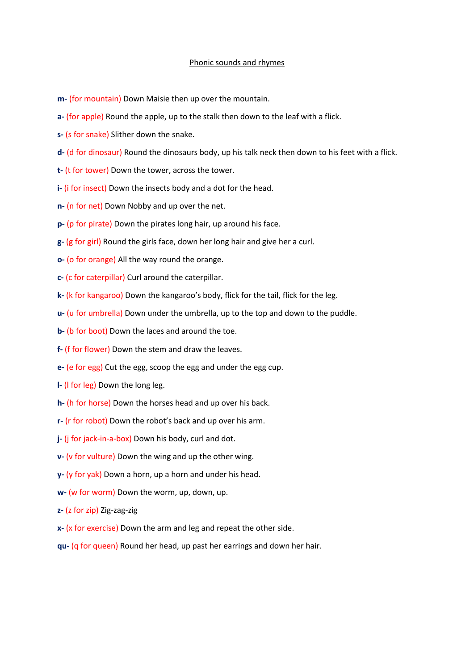## Phonic sounds and rhymes

- **m-** (for mountain) Down Maisie then up over the mountain.
- **a-** (for apple) Round the apple, up to the stalk then down to the leaf with a flick.
- **s-** (s for snake) Slither down the snake.
- **d-** (d for dinosaur) Round the dinosaurs body, up his talk neck then down to his feet with a flick.
- **t-** (t for tower) Down the tower, across the tower.
- **i-** (i for insect) Down the insects body and a dot for the head.
- **n-** (n for net) Down Nobby and up over the net.
- **p-** (p for pirate) Down the pirates long hair, up around his face.
- **g-** (g for girl) Round the girls face, down her long hair and give her a curl.
- **o-** (o for orange) All the way round the orange.
- **c-** (c for caterpillar) Curl around the caterpillar.
- **k-** (k for kangaroo) Down the kangaroo's body, flick for the tail, flick for the leg.
- **u-** (u for umbrella) Down under the umbrella, up to the top and down to the puddle.
- **b-** (b for boot) Down the laces and around the toe.
- **f-** (f for flower) Down the stem and draw the leaves.
- **e-** (e for egg) Cut the egg, scoop the egg and under the egg cup.
- **l-** (l for leg) Down the long leg.
- **h-** (h for horse) Down the horses head and up over his back.
- **r-** (r for robot) Down the robot's back and up over his arm.
- **j-** (j for jack-in-a-box) Down his body, curl and dot.
- **v-** (v for vulture) Down the wing and up the other wing.
- **y-** (y for yak) Down a horn, up a horn and under his head.
- **w-** (w for worm) Down the worm, up, down, up.
- **z-** (z for zip) Zig-zag-zig
- **x-** (x for exercise) Down the arm and leg and repeat the other side.
- **qu-** (q for queen) Round her head, up past her earrings and down her hair.